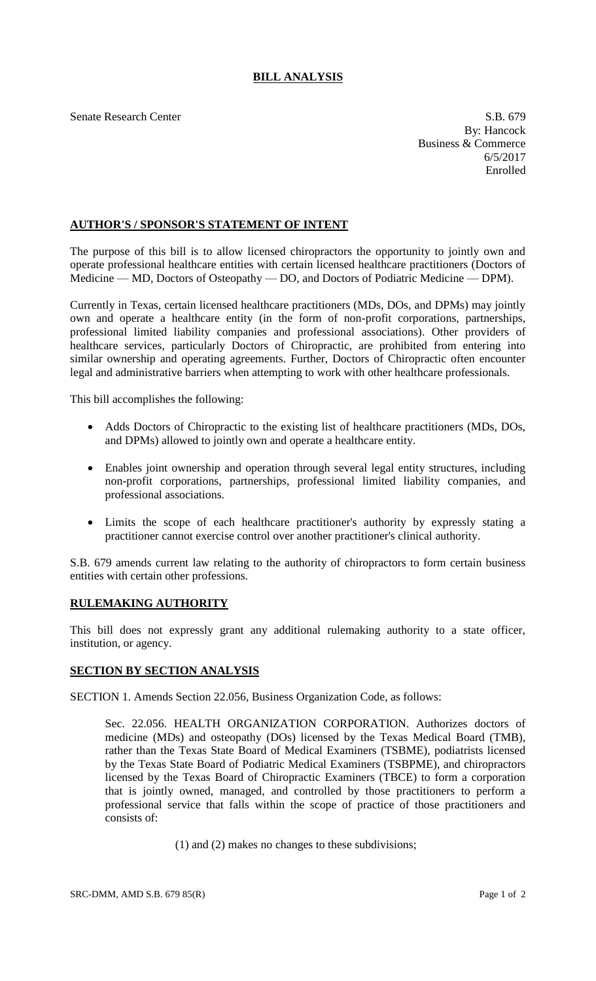## **BILL ANALYSIS**

Senate Research Center S.B. 679

By: Hancock Business & Commerce 6/5/2017 Enrolled

## **AUTHOR'S / SPONSOR'S STATEMENT OF INTENT**

The purpose of this bill is to allow licensed chiropractors the opportunity to jointly own and operate professional healthcare entities with certain licensed healthcare practitioners (Doctors of Medicine — MD, Doctors of Osteopathy — DO, and Doctors of Podiatric Medicine — DPM).

Currently in Texas, certain licensed healthcare practitioners (MDs, DOs, and DPMs) may jointly own and operate a healthcare entity (in the form of non-profit corporations, partnerships, professional limited liability companies and professional associations). Other providers of healthcare services, particularly Doctors of Chiropractic, are prohibited from entering into similar ownership and operating agreements. Further, Doctors of Chiropractic often encounter legal and administrative barriers when attempting to work with other healthcare professionals.

This bill accomplishes the following:

- Adds Doctors of Chiropractic to the existing list of healthcare practitioners (MDs, DOs, and DPMs) allowed to jointly own and operate a healthcare entity.
- Enables joint ownership and operation through several legal entity structures, including non-profit corporations, partnerships, professional limited liability companies, and professional associations.
- Limits the scope of each healthcare practitioner's authority by expressly stating a practitioner cannot exercise control over another practitioner's clinical authority.

S.B. 679 amends current law relating to the authority of chiropractors to form certain business entities with certain other professions.

## **RULEMAKING AUTHORITY**

This bill does not expressly grant any additional rulemaking authority to a state officer, institution, or agency.

## **SECTION BY SECTION ANALYSIS**

SECTION 1. Amends Section 22.056, Business Organization Code, as follows:

Sec. 22.056. HEALTH ORGANIZATION CORPORATION. Authorizes doctors of medicine (MDs) and osteopathy (DOs) licensed by the Texas Medical Board (TMB), rather than the Texas State Board of Medical Examiners (TSBME), podiatrists licensed by the Texas State Board of Podiatric Medical Examiners (TSBPME), and chiropractors licensed by the Texas Board of Chiropractic Examiners (TBCE) to form a corporation that is jointly owned, managed, and controlled by those practitioners to perform a professional service that falls within the scope of practice of those practitioners and consists of:

(1) and (2) makes no changes to these subdivisions;